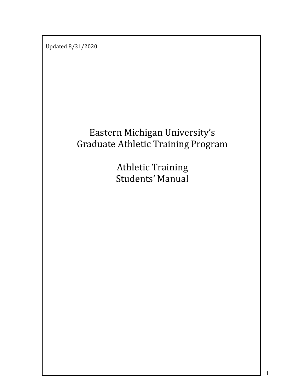Updated 8/31/2020

# Eastern Michigan University's Graduate Athletic Training Program

**Athletic Training** Students' Manual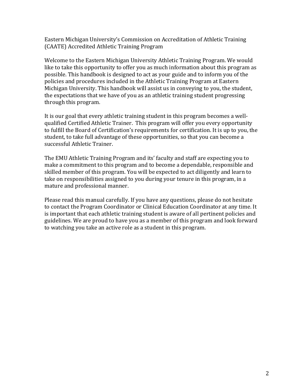Eastern Michigan University's Commission on Accreditation of Athletic Training (CAATE) Accredited Athletic Training Program

Welcome to the Eastern Michigan University Athletic Training Program. We would like to take this opportunity to offer you as much information about this program as possible. This handbook is designed to act as your guide and to inform you of the policies and procedures included in the Athletic Training Program at Eastern Michigan University. This handbook will assist us in conveying to you, the student, the expectations that we have of you as an athletic training student progressing through this program.

It is our goal that every athletic training student in this program becomes a wellqualified Certified Athletic Trainer. This program will offer you every opportunity to fulfill the Board of Certification's requirements for certification. It is up to you, the student, to take full advantage of these opportunities, so that you can become a successful Athletic Trainer.

The EMU Athletic Training Program and its' faculty and staff are expecting you to make a commitment to this program and to become a dependable, responsible and skilled member of this program. You will be expected to act diligently and learn to take on responsibilities assigned to you during your tenure in this program, in a mature and professional manner.

Please read this manual carefully. If you have any questions, please do not hesitate to contact the Program Coordinator or Clinical Education Coordinator at any time. It is important that each athletic training student is aware of all pertinent policies and guidelines. We are proud to have you as a member of this program and look forward to watching you take an active role as a student in this program.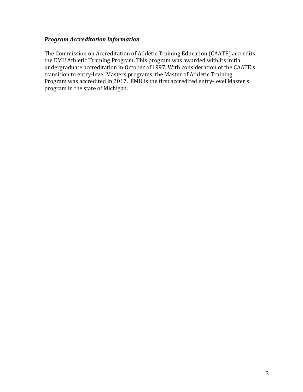## *Program Accreditation Information*

The Commission on Accreditation of Athletic Training Education (CAATE) accredits the EMU Athletic Training Program. This program was awarded with its initial undergraduate accreditation in October of 1997. With consideration of the CAATE's transition to entry-level Masters programs, the Master of Athletic Training Program was accredited in 2017. EMU is the first accredited entry-level Master's program in the state of Michigan.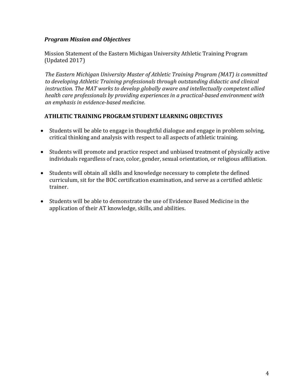# *Program Mission and Objectives*

Mission Statement of the Eastern Michigan University Athletic Training Program (Updated 2017)

The Eastern Michigan University Master of Athletic Training Program (MAT) is committed to developing Athletic Training professionals through outstanding didactic and clinical instruction. The MAT works to develop globally aware and intellectually competent allied *health care professionals by providing experiences in a practical-based environment with an emphasis in evidence-based medicine.*

## **ATHLETIC TRAINING PROGRAM STUDENT LEARNING OBJECTIVES**

- Students will be able to engage in thoughtful dialogue and engage in problem solving, critical thinking and analysis with respect to all aspects of athletic training.
- Students will promote and practice respect and unbiased treatment of physically active individuals regardless of race, color, gender, sexual orientation, or religious affiliation.
- Students will obtain all skills and knowledge necessary to complete the defined curriculum, sit for the BOC certification examination, and serve as a certified athletic trainer.
- Students will be able to demonstrate the use of Evidence Based Medicine in the application of their AT knowledge, skills, and abilities.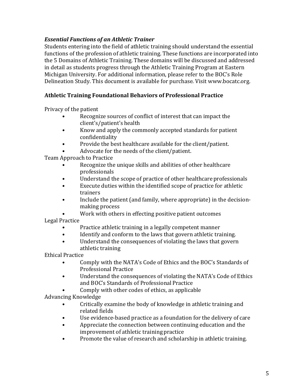# *Essential Functions of an Athletic Trainer*

Students entering into the field of athletic training should understand the essential functions of the profession of athletic training. These functions are incorporated into the 5 Domains of Athletic Training. These domains will be discussed and addressed in detail as students progress through the Athletic Training Program at Eastern Michigan University. For additional information, please refer to the BOC's Role Delineation Study. This document is available for purchase. Visit www.bocatc.org.

# **Athletic Training Foundational Behaviors of Professional Practice**

Privacy of the patient

- Recognize sources of conflict of interest that can impact the client's/patient's health
- Know and apply the commonly accepted standards for patient confidentiality
- Provide the best healthcare available for the client/patient.
- Advocate for the needs of the client/patient.

Team Approach to Practice

- Recognize the unique skills and abilities of other healthcare professionals
- Understand the scope of practice of other healthcare professionals
- Execute duties within the identified scope of practice for athletic trainers
- Include the patient (and family, where appropriate) in the decisionmaking process
- Work with others in effecting positive patient outcomes

Legal Practice

- Practice athletic training in a legally competent manner
- Identify and conform to the laws that govern athletic training.
- Understand the consequences of violating the laws that govern athletic training

Ethical Practice

- Comply with the NATA's Code of Ethics and the BOC's Standards of Professional Practice
- Understand the consequences of violating the NATA's Code of Ethics and BOC's Standards of Professional Practice
- Comply with other codes of ethics, as applicable

Advancing Knowledge

- Critically examine the body of knowledge in athletic training and related fields
- Use evidence-based practice as a foundation for the delivery of care
- Appreciate the connection between continuing education and the improvement of athletic training practice
- Promote the value of research and scholarship in athletic training.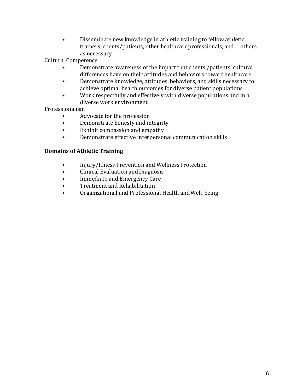• Disseminate new knowledge in athletic training to fellow athletic trainers, clients/patients, other healthcare professionals, and others as necessary

Cultural Competence

- Demonstrate awareness of the impact that clients'/patients' cultural differences have on their attitudes and behaviors toward healthcare
- Demonstrate knowledge, attitudes, behaviors, and skills necessary to achieve optimal health outcomes for diverse patient populations
- Work respectfully and effectively with diverse populations and in a diverse work environment

Professionalism

- Advocate for the profession
- Demonstrate honesty and integrity
- Exhibit compassion and empathy
- Demonstrate effective interpersonal communication skills

## **Domains of Athletic Training**

- Injury/Illness Prevention and Wellness Protection
- Clinical Evaluation and Diagnosis
- Immediate and Emergency Care
- Treatment and Rehabilitation
- Organizational and Professional Health and Well-being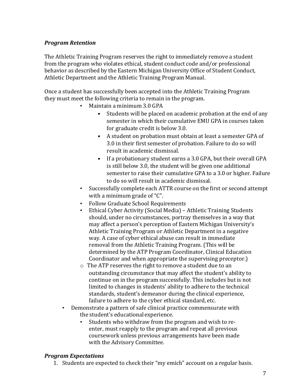# *Program Retention*

The Athletic Training Program reserves the right to immediately remove a student from the program who violates ethical, student conduct code and/or professional behavior as described by the Eastern Michigan University Office of Student Conduct, Athletic Department and the Athletic Training Program Manual.

Once a student has successfully been accepted into the Athletic Training Program they must meet the following criteria to remain in the program.

- Maintain a minimum 3.0 GPA
	- Students will be placed on academic probation at the end of any semester in which their cumulative EMU GPA in courses taken for graduate credit is below 3.0.
	- A student on probation must obtain at least a semester GPA of 3.0 in their first semester of probation. Failure to do so will result in academic dismissal.
	- If a probationary student earns a 3.0 GPA, but their overall GPA is still below 3.0, the student will be given one additional semester to raise their cumulative GPA to a 3.0 or higher. Failure to do so will result in academic dismissal.
- Successfully complete each ATTR course on the first or second attempt with a minimum grade of "C".
- Follow Graduate School Requirements
- Ethical Cyber Activity (Social Media) Athletic Training Students should, under no circumstances, portray themselves in a way that may affect a person's perception of Eastern Michigan University's Athletic Training Program or Athletic Department in a negative way. A case of cyber ethical abuse can result in immediate removal from the Athletic Training Program. (This will be determined by the ATP Program Coordinator, Clinical Education Coordinator and when appropriate the supervising preceptor.)
- $\circ$  The ATP reserves the right to remove a student due to an outstanding circumstance that may affect the student's ability to continue on in the program successfully. This includes but is not limited to changes in students' ability to adhere to the technical standards, student's demeanor during the clinical experience, failure to adhere to the cyber ethical standard, etc.
- Demonstrate a pattern of safe clinical practice commensurate with the student's educational experience.
	- Students who withdraw from the program and wish to reenter, must reapply to the program and repeat all previous coursework unless previous arrangements have been made with the Advisory Committee.

## *Program Expectations*

1. Students are expected to check their "my emich" account on a regular basis.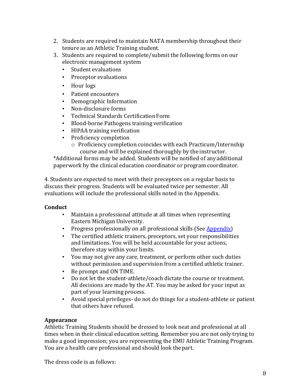- 2. Students are required to maintain NATA membership throughout their tenure as an Athletic Training student.
- 3. Students are required to complete/submit the following forms on our electronic management system
	- Student evaluations
	- Preceptor evaluations
	- Hour logs
	- Patient encounters
	- Demographic Information
	- Non-disclosure forms
	- Technical Standards Certification Form
	- Blood-borne Pathogens training verification
	- HIPAA training verification
	- Proficiency completion
		- $\circ$  Proficiency completion coincides with each Practicum/Internship course and will be explained thoroughly by the instructor.

\*Additional forms may be added. Students will be notified of anyadditional paperwork by the clinical education coordinator or program coordinator.

4. Students are expected to meet with their preceptors on a regular basis to discuss their progress. Students will be evaluated twice per semester. All evaluations will include the professional skills noted in the Appendix.

# **Conduct**

- Maintain a professional attitude at all times when representing Eastern Michigan University.
- Progress professionally on all professional skills (See  $\Delta$ ppendix)
- The certified athletic trainers, preceptors, set your responsibilities and limitations. You will be held accountable for your actions, therefore stay within your limits.
- You may not give any care, treatment, or perform other such duties without permission and supervision from a certified athletic trainer.
- Be prompt and ON TIME.
- Do not let the student-athlete/coach dictate the course or treatment. All decisions are made by the AT. You may be asked for your input as part of your learning process.
- Avoid special privileges- do not do things for a student-athlete or patient that others have refused.

## **Appearance**

Athletic Training Students should be dressed to look neat and professional at all times when in their clinical education setting. Remember you are not only trying to make a good impression; you are representing the EMU Athletic Training Program. You are a health care professional and should look the part.

The dress code is as follows: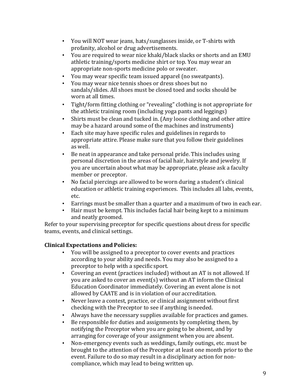- You will NOT wear jeans, hats/sunglasses inside, or T-shirts with profanity, alcohol or drug advertisements.
- You are required to wear nice khaki/black slacks or shorts and an EMU athletic training/sports medicine shirt or top. You may wear an appropriate non-sports medicine polo or sweater.
- You may wear specific team issued apparel (no sweatpants).
- You may wear nice tennis shoes or dress shoes but no sandals/slides. All shoes must be closed toed and socks should be worn at all times.
- Tight/form fitting clothing or "revealing" clothing is not appropriate for the athletic training room (including yoga pants and leggings)
- Shirts must be clean and tucked in. (Any loose clothing and other attire may be a hazard around some of the machines and instruments)
- Each site may have specific rules and guidelines in regards to appropriate attire. Please make sure that you follow their guidelines as well.
- Be neat in appearance and take personal pride. This includes using personal discretion in the areas of facial hair, hairstyle and jewelry. If you are uncertain about what may be appropriate, please ask a faculty member or preceptor.
- No facial piercings are allowed to be worn during a student's clinical education or athletic training experiences. This includes all labs, events, etc.
- Earrings must be smaller than a quarter and a maximum of two in each ear.
- Hair must be kempt. This includes facial hair being kept to a minimum and neatly groomed.

Refer to your supervising preceptor for specific questions about dress for specific teams, events, and clinical settings.

# **Clinical Expectations and Policies:**

- You will be assigned to a preceptor to cover events and practices according to your ability and needs. You may also be assigned to a preceptor to help with a specific sport.
- Covering an event (practices included) without an AT is not allowed. If you are asked to cover an event(s) without an AT inform the Clinical Education Coordinator immediately. Covering an event alone is not allowed by CAATE and is in violation of our accreditation.
- Never leave a contest, practice, or clinical assignment without first checking with the Preceptor to see if anything is needed.
- Always have the necessary supplies available for practices and games.
- $\cdot$  Be responsible for duties and assignments by completing them, by notifying the Preceptor when you are going to be absent, and by arranging for coverage of your assignment when you are absent.
- Non-emergency events such as weddings, family outings, etc. must be brought to the attention of the Preceptor at least one month prior to the event. Failure to do so may result in a disciplinary action for noncompliance, which may lead to being written up.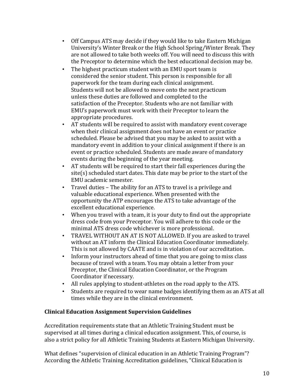- Off Campus ATS may decide if they would like to take Eastern Michigan University's Winter Break or the High School Spring/Winter Break. They are not allowed to take both weeks off. You will need to discuss this with the Preceptor to determine which the best educational decision may be.
- The highest practicum student with an EMU sport team is considered the senior student. This person is responsible for all paperwork for the team during each clinical assignment. Students will not be allowed to move onto the next practicum unless these duties are followed and completed to the satisfaction of the Preceptor. Students who are not familiar with EMU's paperwork must work with their Preceptor to learn the appropriate procedures.
- AT students will be required to assist with mandatory event coverage when their clinical assignment does not have an event or practice scheduled. Please be advised that you may be asked to assist with a mandatory event in addition to your clinical assignment if there is an event or practice scheduled. Students are made aware of mandatory events during the beginning of the year meeting.
- AT students will be required to start their fall experiences during the  $site(s)$  scheduled start dates. This date may be prior to the start of the EMU academic semester.
- Travel duties The ability for an ATS to travel is a privilege and valuable educational experience. When presented with the opportunity the ATP encourages the ATS to take advantage of the excellent educational experience.
- When you travel with a team, it is your duty to find out the appropriate dress code from your Preceptor. You will adhere to this code or the minimal ATS dress code whichever is more professional.
- TRAVEL WITHOUT AN AT IS NOT ALLOWED. If you are asked to travel without an AT inform the Clinical Education Coordinator immediately. This is not allowed by CAATE and is in violation of our accreditation.
- Inform your instructors ahead of time that you are going to miss class because of travel with a team. You may obtain a letter from your Preceptor, the Clinical Education Coordinator, or the Program Coordinator if necessary.
- All rules applying to student-athletes on the road apply to the ATS.
- Students are required to wear name badges identifying them as an ATS at all times while they are in the clinical environment.

## **Clinical Education Assignment Supervision Guidelines**

Accreditation requirements state that an Athletic Training Student must be supervised at all times during a clinical education assignment. This, of course, is also a strict policy for all Athletic Training Students at Eastern Michigan University.

What defines "supervision of clinical education in an Athletic Training Program"? According the Athletic Training Accreditation guidelines, "Clinical Education is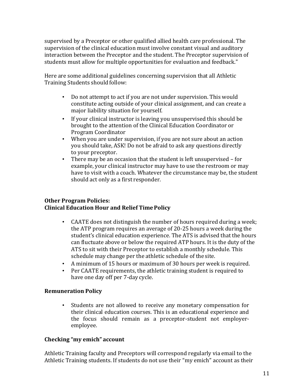supervised by a Preceptor or other qualified allied health care professional. The supervision of the clinical education must involve constant visual and auditory interaction between the Preceptor and the student. The Preceptor supervision of students must allow for multiple opportunities for evaluation and feedback."

Here are some additional guidelines concerning supervision that all Athletic Training Students should follow:

- Do not attempt to act if you are not under supervision. This would constitute acting outside of your clinical assignment, and can create a major liability situation for yourself.
- If your clinical instructor is leaving you unsupervised this should be brought to the attention of the Clinical Education Coordinator or Program Coordinator
- When you are under supervision, if you are not sure about an action you should take, ASK! Do not be afraid to ask any questions directly to your preceptor.
- There may be an occasion that the student is left unsupervised for example, your clinical instructor may have to use the restroom or may have to visit with a coach. Whatever the circumstance may be, the student should act only as a first responder.

# **Other Program Policies: Clinical Education Hour and Relief TimePolicy**

- CAATE does not distinguish the number of hours required during a week; the ATP program requires an average of 20-25 hours a week during the student's clinical education experience. The ATS is advised that the hours can fluctuate above or below the required ATP hours. It is the duty of the ATS to sit with their Preceptor to establish a monthly schedule. This schedule may change per the athletic schedule of the site.
- A minimum of 15 hours or maximum of 30 hours per week is required.
- Per CAATE requirements, the athletic training student is required to have one day off per 7-day cycle.

# **Remuneration Policy**

• Students are not allowed to receive any monetary compensation for their clinical education courses. This is an educational experience and the focus should remain as a preceptor-student not employeremployee.

# **Checking "my emich" account**

Athletic Training faculty and Preceptors will correspond regularly via email to the Athletic Training students. If students do not use their "my emich" account as their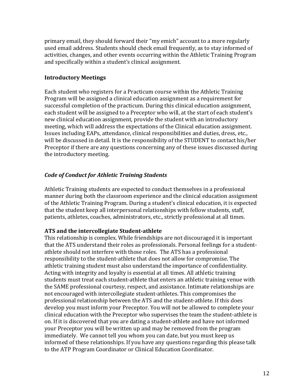primary email, they should forward their "my emich" account to a more regularly used email address. Students should check email frequently, as to stay informed of activities, changes, and other events occurring within the Athletic Training Program and specifically within a student's clinical assignment.

### **Introductory Meetings**

Each student who registers for a Practicum course within the Athletic Training Program will be assigned a clinical education assignment as a requirement for successful completion of the practicum. During this clinical education assignment, each student will be assigned to a Preceptor who will, at the start of each student's new clinical education assignment, provide the student with an introductory meeting, which will address the expectations of the Clinical education assignment. Issues including EAPs, attendance, clinical responsibilities and duties, dress, etc., will be discussed in detail. It is the responsibility of the STUDENT to contact his/her Preceptor if there are any questions concerning any of these issues discussed during the introductory meeting.

## *Code of Conduct for Athletic Training Students*

Athletic Training students are expected to conduct themselves in a professional manner during both the classroom experience and the clinical education assignment of the Athletic Training Program. During a student's clinical education, it is expected that the student keep all interpersonal relationships with fellow students, staff, patients, athletes, coaches, administrators, etc., strictly professional at all times.

#### **ATS and the intercollegiate Student-athlete**

This relationship is complex. While friendships are not discouraged it is important that the ATS understand their roles as professionals. Personal feelings for a studentathlete should not interfere with those roles. The ATS has a professional responsibility to the student-athlete that does not allow for compromise. The athletic training student must also understand the importance of confidentiality. Acting with integrity and loyalty is essential at all times. All athletic training students must treat each student-athlete that enters an athletic training venue with the SAME professional courtesy, respect, and assistance. Intimate relationships are not encouraged with intercollegiate student-athletes. This compromises the professional relationship between the ATS and the student-athlete. If this does develop you must inform your Preceptor. You will not be allowed to complete your clinical education with the Preceptor who supervises the team the student-athlete is on. If it is discovered that you are dating a student-athlete and have not informed your Preceptor you will be written up and may be removed from the program immediately. We cannot tell you whom you can date, but you must keep us informed of these relationships. If you have any questions regarding this please talk to the ATP Program Coordinator or Clinical Education Coordinator.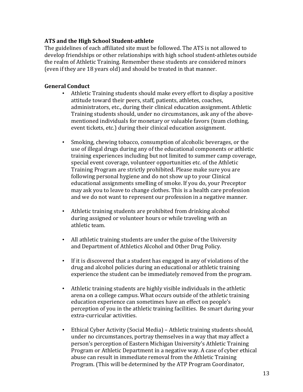## **ATS and the High School Student-athlete**

The guidelines of each affiliated site must be followed. The ATS is not allowed to develop friendships or other relationships with high school student-athletes outside the realm of Athletic Training. Remember these students are considered minors (even if they are 18 years old) and should be treated in that manner.

## **General Conduct**

- Athletic Training students should make every effort to display a positive attitude toward their peers, staff, patients, athletes, coaches, administrators, etc., during their clinical education assignment. Athletic Training students should, under no circumstances, ask any of the abovementioned individuals for monetary or valuable favors (team clothing, event tickets, etc.) during their clinical education assignment.
- Smoking, chewing tobacco, consumption of alcoholic beverages, or the use of illegal drugs during any of the educational components or athletic training experiences including but not limited to summer camp coverage, special event coverage, volunteer opportunities etc. of the Athletic Training Program are strictly prohibited. Please make sure you are following personal hygiene and do not show up to your Clinical educational assignments smelling of smoke. If you do, your Preceptor may ask you to leave to change clothes. This is a health care profession and we do not want to represent our profession in a negative manner.
- Athletic training students are prohibited from drinking alcohol during assigned or volunteer hours or while traveling with an athletic team.
- All athletic training students are under the guise of the University and Department of Athletics Alcohol and Other Drug Policy.
- If it is discovered that a student has engaged in any of violations of the drug and alcohol policies during an educational or athletic training experience the student can be immediately removed from the program.
- Athletic training students are highly visible individuals in the athletic arena on a college campus. What occurs outside of the athletic training education experience can sometimes have an effect on people's perception of you in the athletic training facilities. Be smart during your extra-curricular activities.
- Ethical Cyber Activity (Social Media) Athletic training students should, under no circumstances, portray themselves in a way that may affect a person's perception of Eastern Michigan University's Athletic Training Program or Athletic Department in a negative way. A case of cyber ethical abuse can result in immediate removal from the Athletic Training Program. (This will be determined by the ATP Program Coordinator,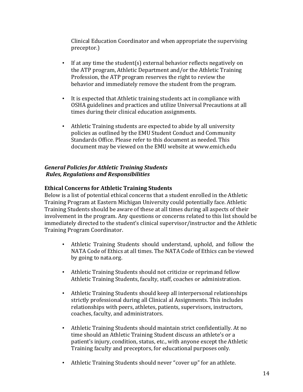Clinical Education Coordinator and when appropriate the supervising preceptor.)

- If at any time the student(s) external behavior reflects negatively on the ATP program, Athletic Department and/or the Athletic Training Profession, the ATP program reserves the right to review the behavior and immediately remove the student from the program.
- It is expected that Athletic training students act in compliance with OSHA guidelines and practices and utilize Universal Precautions at all times during their clinical education assignments.
- Athletic Training students are expected to abide by all university policies as outlined by the EMU Student Conduct and Community Standards Office. Please refer to this document as needed. This document may be viewed on the EMU website at www.emich.edu

# *General Policies for Athletic Training Students Rules, Regulations and Responsibilities*

## **Ethical Concerns for Athletic Training Students**

Below is a list of potential ethical concerns that a student enrolled in the Athletic Training Program at Eastern Michigan University could potentially face. Athletic Training Students should be aware of these at all times during all aspects of their involvement in the program. Any questions or concerns related to this list should be immediately directed to the student's clinical supervisor/instructor and the Athletic Training Program Coordinator.

- Athletic Training Students should understand, uphold, and follow the NATA Code of Ethics at all times. The NATA Code of Ethics can be viewed by going to nata.org.
- Athletic Training Students should not criticize or reprimand fellow Athletic Training Students, faculty, staff, coaches or administration.
- Athletic Training Students should keep all interpersonal relationships strictly professional during all Clinical al Assignments. This includes relationships with peers, athletes, patients, supervisors, instructors, coaches, faculty, and administrators.
- Athletic Training Students should maintain strict confidentially. At no time should an Athletic Training Student discuss an athlete's or a patient's injury, condition, status, etc., with anyone except the Athletic Training faculty and preceptors, for educational purposes only.
- Athletic Training Students should never "cover up" for an athlete.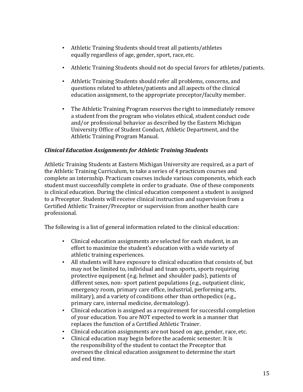- Athletic Training Students should treat all patients/athletes equally regardless of age, gender, sport, race, etc.
- Athletic Training Students should not do special favors for athletes/patients.
- Athletic Training Students should refer all problems, concerns, and questions related to athletes/patients and all aspects of the clinical education assignment, to the appropriate preceptor/faculty member.
- The Athletic Training Program reserves the right to immediately remove a student from the program who violates ethical, student conduct code and/or professional behavior as described by the Eastern Michigan University Office of Student Conduct, Athletic Department, and the Athletic Training Program Manual.

## *Clinical Education Assignments for Athletic Training Students*

Athletic Training Students at Eastern Michigan University are required, as a part of the Athletic Training Curriculum, to take a series of 4 practicum courses and complete an internship. Practicum courses include various components, which each student must successfully complete in order to graduate. One of these components is clinical education. During the clinical education component a student is assigned to a Preceptor. Students will receive clinical instruction and supervision from a Certified Athletic Trainer/Preceptor or supervision from another health care professional.

The following is a list of general information related to the clinical education:

- Clinical education assignments are selected for each student, in an effort to maximize the student's education with a wide variety of athletic training experiences.
- All students will have exposure to clinical education that consists of, but may not be limited to, individual and team sports, sports requiring protective equipment (e.g. helmet and shoulder pads), patients of different sexes, non- sport patient populations (e.g., outpatient clinic, emergency room, primary care office, industrial, performing arts, military), and a variety of conditions other than orthopedics  $(e.g.,)$ primary care, internal medicine, dermatology).
- Clinical education is assigned as a requirement for successful completion of your education. You are NOT expected to work in a manner that replaces the function of a Certified Athletic Trainer.
- Clinical education assignments are not based on age, gender, race, etc.
- Clinical education may begin before the academic semester. It is the responsibility of the student to contact the Preceptor that oversees the clinical education assignment to determine the start and end time.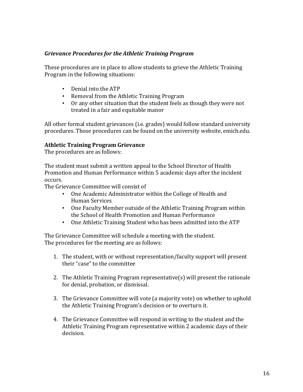# *Grievance Procedures for the Athletic Training Program*

These procedures are in place to allow students to grieve the Athletic Training Program in the following situations:

- Denial into the ATP
- Removal from the Athletic Training Program
- Or any other situation that the student feels as though they were not treated in a fair and equitable manor

All other formal student grievances (i.e. grades) would follow standard university procedures. Those procedures can be found on the university website, emich.edu.

## **Athletic Training Program Grievance**

The procedures are as follows:

The student must submit a written appeal to the School Director of Health Promotion and Human Performance within 5 academic days after the incident occurs.

The Grievance Committee will consist of

- One Academic Administrator within the College of Health and Human Services
- One Faculty Member outside of the Athletic Training Program within the School of Health Promotion and Human Performance
- One Athletic Training Student who has been admitted into the ATP

The Grievance Committee will schedule a meeting with the student. The procedures for the meeting are as follows:

- 1. The student, with or without representation/faculty support will present their "case" to the committee
- 2. The Athletic Training Program representative(s) will present the rationale for denial, probation, or dismissal.
- 3. The Grievance Committee will vote (a majority vote) on whether to uphold the Athletic Training Program's decision or to overturn it.
- 4. The Grievance Committee will respond in writing to the student and the Athletic Training Program representative within 2 academic days of their decision.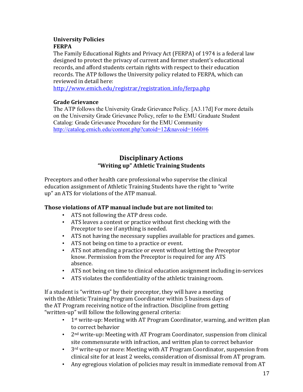## **University Policies FERPA**

The Family Educational Rights and Privacy Act (FERPA) of 1974 is a federal law designed to protect the privacy of current and former student's educational records, and afford students certain rights with respect to their education records. The ATP follows the University policy related to FERPA, which can reviewed in detail here:

http://www.emich.edu/registrar/registration\_info/ferpa.php

# **Grade Grievance**

The ATP follows the University Grade Grievance Policy. [A3.17d] For more details on the University Grade Grievance Policy, refer to the EMU Graduate Student Catalog: Grade Grievance Procedure for the EMU Community http://catalog.emich.edu/content.php?catoid=12&navoid=1660#6

# **Disciplinary Actions "Writing up" Athletic Training Students**

Preceptors and other health care professional who supervise the clinical education assignment of Athletic Training Students have the right to "write up" an ATS for violations of the ATP manual.

# **Those violations of ATP manual include but are not limited to:**

- ATS not following the ATP dress code.
- ATS leaves a contest or practice without first checking with the Preceptor to see if anything is needed.
- ATS not having the necessary supplies available for practices and games.
- ATS not being on time to a practice or event.
- ATS not attending a practice or event without letting the Preceptor know. Permission from the Preceptor is required for any ATS absence.
- ATS not being on time to clinical education assignment including in-services
- ATS violates the confidentiality of the athletic training room.

If a student is "written-up" by their preceptor, they will have a meeting with the Athletic Training Program Coordinator within 5 business days of the AT Program receiving notice of the infraction. Discipline from getting "written-up" will follow the following general criteria:

- 1<sup>st</sup> write-up: Meeting with AT Program Coordinator, warning, and written plan to correct behavior
- 2<sup>nd</sup> write-up: Meeting with AT Program Coordinator, suspension from clinical site commensurate with infraction, and written plan to correct behavior
- $3<sup>rd</sup>$  write-up or more: Meeting with AT Program Coordinator, suspension from clinical site for at least 2 weeks, consideration of dismissal from AT program.
- Any egregious violation of policies may result in immediate removal from AT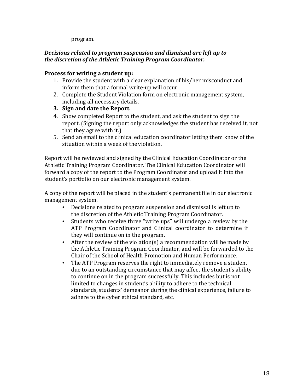program.

# **Decisions related to program suspension and dismissal are left up to** *the discretion of the Athletic Training Program Coordinator.*

# **Process for writing a student up:**

- 1. Provide the student with a clear explanation of his/her misconduct and inform them that a formal write-up will occur.
- 2. Complete the Student Violation form on electronic management system, including all necessary details.
- **3. Sign and date the Report.**
- 4. Show completed Report to the student, and ask the student to sign the report. (Signing the report only acknowledges the student has received it, not that they agree with it.)
- 5. Send an email to the clinical education coordinator letting them know of the situation within a week of the violation.

Report will be reviewed and signed by the Clinical Education Coordinator or the Athletic Training Program Coordinator. The Clinical Education Coordinator will forward a copy of the report to the Program Coordinator and upload it into the student's portfolio on our electronic management system.

A copy of the report will be placed in the student's permanent file in our electronic management system.

- Decisions related to program suspension and dismissal is left up to the discretion of the Athletic Training Program Coordinator.
- Students who receive three "write ups" will undergo a review by the ATP Program Coordinator and Clinical coordinator to determine if they will continue on in the program.
- After the review of the violation(s) a recommendation will be made by the Athletic Training Program Coordinator, and will be forwarded to the Chair of the School of Health Promotion and Human Performance.
- The ATP Program reserves the right to immediately remove a student due to an outstanding circumstance that may affect the student's ability to continue on in the program successfully. This includes but is not limited to changes in student's ability to adhere to the technical standards, students' demeanor during the clinical experience, failure to adhere to the cyber ethical standard, etc.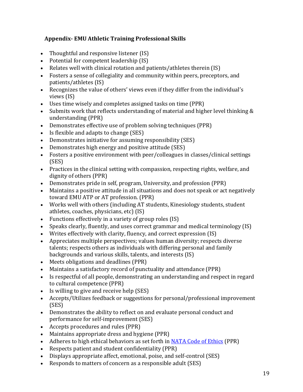# **Appendix- EMU Athletic Training Professional Skills**

- Thoughtful and responsive listener  $(IS)$
- Potential for competent leadership  $(IS)$
- Relates well with clinical rotation and patients/athletes therein (IS)
- Fosters a sense of collegiality and community within peers, preceptors, and patients/athletes (IS)
- Recognizes the value of others' views even if they differ from the individual's views (IS)
- Uses time wisely and completes assigned tasks on time (PPR)
- Submits work that reflects understanding of material and higher level thinking  $&$ understanding (PPR)
- Demonstrates effective use of problem solving techniques (PPR)
- Is flexible and adapts to change (SES)
- Demonstrates initiative for assuming responsibility (SES)
- Demonstrates high energy and positive attitude (SES)
- Fosters a positive environment with peer/colleagues in classes/clinical settings (SES)
- Practices in the clinical setting with compassion, respecting rights, welfare, and dignity of others (PPR)
- Demonstrates pride in self, program, University, and profession (PPR)
- Maintains a positive attitude in all situations and does not speak or act negatively toward EMU ATP or AT profession. (PPR)
- Works well with others (including AT students, Kinesiology students, student athletes, coaches, physicians, etc) (IS)
- Functions effectively in a variety of group roles  $(IS)$
- Speaks clearly, fluently, and uses correct grammar and medical terminology  $(IS)$
- Writes effectively with clarity, fluency, and correct expression (IS)
- Appreciates multiple perspectives; values human diversity; respects diverse talents; respects others as individuals with differing personal and family backgrounds and various skills, talents, and interests (IS)
- Meets obligations and deadlines (PPR)
- Maintains a satisfactory record of punctuality and attendance (PPR)
- Is respectful of all people, demonstrating an understanding and respect in regard to cultural competence (PPR)
- Is willing to give and receive help (SES)
- Accepts/Utilizes feedback or suggestions for personal/professional improvement (SES)
- Demonstrates the ability to reflect on and evaluate personal conduct and performance for self-improvement (SES)
- Accepts procedures and rules (PPR)
- Maintains appropriate dress and hygiene (PPR)
- Adheres to high ethical behaviors as set forth in NATA Code of Ethics (PPR)
- Respects patient and student confidentiality (PPR)
- Displays appropriate affect, emotional, poise, and self-control (SES)
- Responds to matters of concern as a responsible adult (SES)